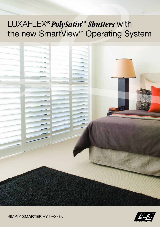## LUXAFLEX® *PolySatin™ Shutters* with the new SmartView<sup>™</sup> Operating System





SIMPLY **SMARTER** BY DESIGN